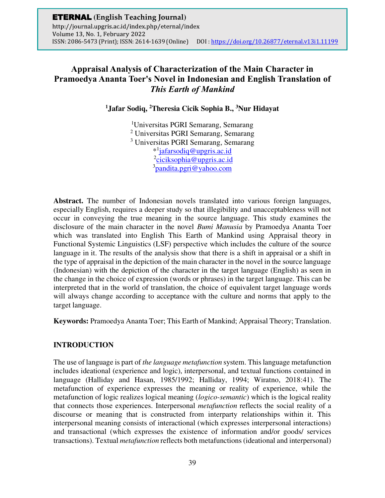# **Appraisal Analysis of Characterization of the Main Character in Pramoedya Ananta Toer's Novel in Indonesian and English Translation of**  *This Earth of Mankind*

**1 Jafar Sodiq, <sup>2</sup>Theresia Cicik Sophia B., <sup>3</sup>Nur Hidayat** 

Universitas PGRI Semarang, Semarang Universitas PGRI Semarang, Semarang Universitas PGRI Semarang, Semarang \* 1 [jafarsodiq@upgris.ac.id](mailto:jafarsodiq@upgris.ac.id)  <sup>2</sup>[ciciksophia@upgris.ac.id](mailto:ciciksophia@upgris.ac.id) [pandita.pgri@yahoo.com](mailto:pandita.pgri@yahoo.com)

**Abstract.** The number of Indonesian novels translated into various foreign languages, especially English, requires a deeper study so that illegibility and unacceptableness will not occur in conveying the true meaning in the source language. This study examines the disclosure of the main character in the novel *Bumi Manusia* by Pramoedya Ananta Toer which was translated into English This Earth of Mankind using Appraisal theory in Functional Systemic Linguistics (LSF) perspective which includes the culture of the source language in it. The results of the analysis show that there is a shift in appraisal or a shift in the type of appraisal in the depiction of the main character in the novel in the source language (Indonesian) with the depiction of the character in the target language (English) as seen in the change in the choice of expression (words or phrases) in the target language. This can be interpreted that in the world of translation, the choice of equivalent target language words will always change according to acceptance with the culture and norms that apply to the target language.

**Keywords:** Pramoedya Ananta Toer; This Earth of Mankind; Appraisal Theory; Translation.

### **INTRODUCTION**

The use of language is part of *the language metafunction* system. This language metafunction includes ideational (experience and logic), interpersonal, and textual functions contained in language (Halliday and Hasan, 1985/1992; Halliday, 1994; Wiratno, 2018:41). The metafunction of experience expresses the meaning or reality of experience, while the metafunction of logic realizes logical meaning (*logico-semantic*) which is the logical reality that connects those experiences. Interpersonal *metafunction* reflects the social reality of a discourse or meaning that is constructed from interparty relationships within it. This interpersonal meaning consists of interactional (which expresses interpersonal interactions) and transactional (which expresses the existence of information and/or goods/ services transactions). Textual *metafunction* reflects both metafunctions (ideational and interpersonal)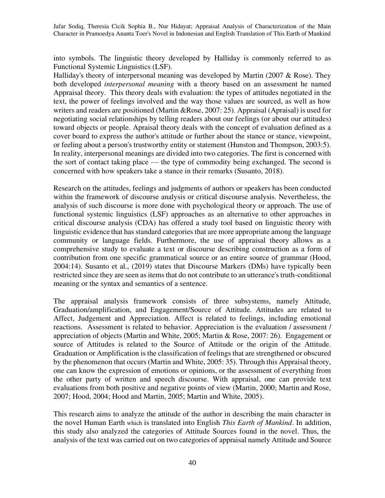into symbols. The linguistic theory developed by Halliday is commonly referred to as Functional Systemic Linguistics (LSF).

Halliday's theory of interpersonal meaning was developed by Martin (2007  $&$  Rose). They both developed *interpersonal meaning* with a theory based on an assessment he named Appraisal theory. This theory deals with evaluation: the types of attitudes negotiated in the text, the power of feelings involved and the way those values are sourced, as well as how writers and readers are positioned (Martin &Rose, 2007: 25). Appraisal (Apraisal) is used for negotiating social relationships by telling readers about our feelings (or about our attitudes) toward objects or people. Apraisal theory deals with the concept of evaluation defined as a cover board to express the author's attitude or further about the stance or stance, viewpoint, or feeling about a person's trustworthy entity or statement (Hunston and Thompson, 2003:5). In reality, interpersonal meanings are divided into two categories. The first is concerned with the sort of contact taking place — the type of commodity being exchanged. The second is concerned with how speakers take a stance in their remarks (Susanto, 2018).

Research on the attitudes, feelings and judgments of authors or speakers has been conducted within the framework of discourse analysis or critical discourse analysis. Nevertheless, the analysis of such discourse is more done with psychological theory or approach. The use of functional systemic linguistics (LSF) approaches as an alternative to other approaches in critical discourse analysis (CDA) has offered a study tool based on linguistic theory with linguistic evidence that has standard categories that are more appropriate among the language community or language fields. Furthermore, the use of appraisal theory allows as a comprehensive study to evaluate a text or discourse describing construction as a form of contribution from one specific grammatical source or an entire source of grammar (Hood, 2004:14). Susanto et al., (2019) states that Discourse Markers (DMs) have typically been restricted since they are seen as items that do not contribute to an utterance's truth-conditional meaning or the syntax and semantics of a sentence.

The appraisal analysis framework consists of three subsystems, namely Attitude, Graduation/amplification, and Engagement/Source of Attitude. Attitudes are related to Affect, Judgement and Appreciation. Affect is related to feelings, including emotional reactions. Assessment is related to behavior. Appreciation is the evaluation / assessment / appreciation of objects (Martin and White, 2005; Martin & Rose, 2007: 26). Engagement or source of Attitudes is related to the Source of Attitude or the origin of the Attitude. Graduation or Amplification is the classification of feelings that are strengthened or obscured by the phenomenon that occurs (Martin and White, 2005: 35). Through this Appraisal theory, one can know the expression of emotions or opinions, or the assessment of everything from the other party of written and speech discourse. With appraisal, one can provide text evaluations from both positive and negative points of view (Martin, 2000; Martin and Rose, 2007; Hood, 2004; Hood and Martin, 2005; Martin and White, 2005).

This research aims to analyze the attitude of the author in describing the main character in the novel Human Earth which is translated into English *This Earth of Mankind*. In addition, this study also analyzed the categories of Attitude Sources found in the novel. Thus, the analysis of the text was carried out on two categories of appraisal namely Attitude and Source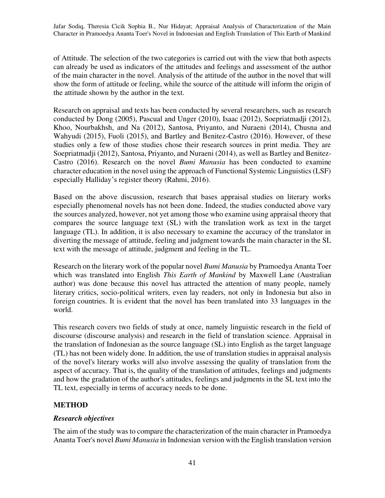of Attitude. The selection of the two categories is carried out with the view that both aspects can already be used as indicators of the attitudes and feelings and assessment of the author of the main character in the novel. Analysis of the attitude of the author in the novel that will show the form of attitude or feeling, while the source of the attitude will inform the origin of the attitude shown by the author in the text.

Research on appraisal and texts has been conducted by several researchers, such as research conducted by Dong (2005), Pascual and Unger (2010), Isaac (2012), Soepriatmadji (2012), Khoo, Nourbakhsh, and Na (2012), Santosa, Priyanto, and Nuraeni (2014), Chusna and Wahyudi (2015), Fuoli (2015), and Bartley and Benitez-Castro (2016). However, of these studies only a few of those studies chose their research sources in print media. They are Soepriatmadji (2012), Santosa, Priyanto, and Nuraeni (2014), as well as Bartley and Benitez-Castro (2016). Research on the novel *Bumi Manusia* has been conducted to examine character education in the novel using the approach of Functional Systemic Linguistics (LSF) especially Halliday's register theory (Rahmi, 2016).

Based on the above discussion, research that bases appraisal studies on literary works especially phenomenal novels has not been done. Indeed, the studies conducted above vary the sources analyzed, however, not yet among those who examine using appraisal theory that compares the source language text (SL) with the translation work as text in the target language (TL). In addition, it is also necessary to examine the accuracy of the translator in diverting the message of attitude, feeling and judgment towards the main character in the SL text with the message of attitude, judgment and feeling in the TL.

Research on the literary work of the popular novel *Bumi Manusia* by Pramoedya Ananta Toer which was translated into English *This Earth of Mankind* by Maxwell Lane (Australian author) was done because this novel has attracted the attention of many people, namely literary critics, socio-political writers, even lay readers, not only in Indonesia but also in foreign countries. It is evident that the novel has been translated into 33 languages in the world.

This research covers two fields of study at once, namely linguistic research in the field of discourse (discourse analysis) and research in the field of translation science. Appraisal in the translation of Indonesian as the source language (SL) into English as the target language (TL) has not been widely done. In addition, the use of translation studies in appraisal analysis of the novel's literary works will also involve assessing the quality of translation from the aspect of accuracy. That is, the quality of the translation of attitudes, feelings and judgments and how the gradation of the author's attitudes, feelings and judgments in the SL text into the TL text, especially in terms of accuracy needs to be done.

# **METHOD**

### *Research objectives*

The aim of the study was to compare the characterization of the main character in Pramoedya Ananta Toer's novel *Bumi Manusia* in Indonesian version with the English translation version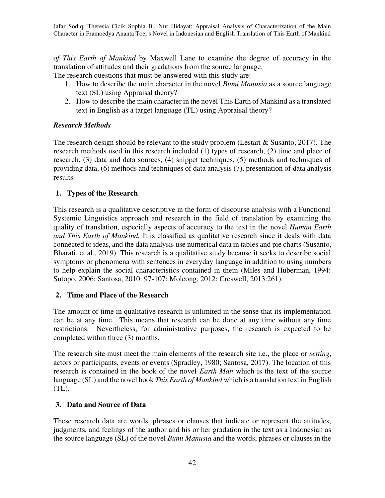*of This Earth of Mankind* by Maxwell Lane to examine the degree of accuracy in the translation of attitudes and their gradations from the source language.

The research questions that must be answered with this study are:

- 1. How to describe the main character in the novel *Bumi Manusia* as a source language text (SL) using Appraisal theory?
- 2. How to describe the main character in the novel This Earth of Mankind as a translated text in English as a target language (TL) using Appraisal theory?

# *Research Methods*

The research design should be relevant to the study problem (Lestari  $&$  Susanto, 2017). The research methods used in this research included (1) types of research, (2) time and place of research, (3) data and data sources, (4) snippet techniques, (5) methods and techniques of providing data, (6) methods and techniques of data analysis (7), presentation of data analysis results.

# **1. Types of the Research**

This research is a qualitative descriptive in the form of discourse analysis with a Functional Systemic Linguistics approach and research in the field of translation by examining the quality of translation, especially aspects of accuracy to the text in the novel *Human Earth and This Earth of Mankind.* It is classified as qualitative research since it deals with data connected to ideas, and the data analysis use numerical data in tables and pie charts (Susanto, Bharati, et al., 2019). This research is a qualitative study because it seeks to describe social symptoms or phenomena with sentences in everyday language in addition to using numbers to help explain the social characteristics contained in them (Miles and Huberman, 1994: Sutopo, 2006; Santosa, 2010: 97-107; Moleong, 2012; Creswell, 2013:261).

# **2. Time and Place of the Research**

The amount of time in qualitative research is unlimited in the sense that its implementation can be at any time. This means that research can be done at any time without any time restrictions. Nevertheless, for administrative purposes, the research is expected to be completed within three (3) months.

The research site must meet the main elements of the research site i.e., the place or *setting*, actors or participants, events or events (Spradley, 1980; Santosa, 2017). The location of this research is contained in the book of the novel *Earth Man* which is the text of the source language (SL) and the novel book *This Earth of Mankind* which is a translation text in English  $(TL)$ .

# **3. Data and Source of Data**

These research data are words, phrases or clauses that indicate or represent the attitudes, judgments, and feelings of the author and his or her gradation in the text as a Indonesian as the source language (SL) of the novel *Bumi Manusia* and the words, phrases or clauses in the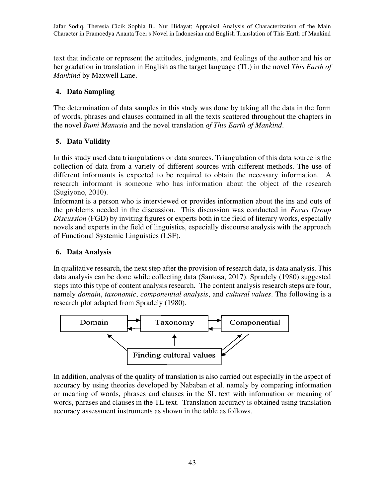text that indicate or represent the attitudes, judgments, and feelings of the author and his or her gradation in translation in English as the target language (TL) in the novel *This Earth of Mankind* by Maxwell Lane.

# **4. Data Sampling**

The determination of data samples in this study was done by taking all the data in the form of words, phrases and clauses contained in all the texts scattered throughout the chapters in the novel *Bumi Manusia* and the novel translation *of This Earth of Mankind*.

# **5. Data Validity**

In this study used data triangulations or data sources. Triangulation of this data source is the collection of data from a variety of different sources with different methods. The use of different informants is expected to be required to obtain the necessary information. A research informant is someone who has information about the object of the research (Sugiyono, 2010).

Informant is a person who is interviewed or provides information about the ins and outs of the problems needed in the discussion. This discussion was conducted in *Focus Group Discussion* (FGD) by inviting figures or experts both in the field of literary works, especially novels and experts in the field of linguistics, especially discourse analysis with the approach of Functional Systemic Linguistics (LSF).

# **6. Data Analysis**

In qualitative research, the next step after the provision of research data, is data analysis. This data analysis can be done while collecting data (Santosa, 2017). Spradely (1980) suggested steps into this type of content analysis research*.* The content analysis research steps are four, namely *domain*, *taxonomic*, *componential analysis*, and *cultural values*. The following is a research plot adapted from Spradely (1980).



In addition, analysis of the quality of translation is also carried out especially in the aspect of accuracy by using theories developed by Nababan et al. namely by comparing information or meaning of words, phrases and clauses in the SL text with information or meaning of words, phrases and clauses in the TL text. Translation accuracy is obtained using translation accuracy assessment instruments as shown in the table as follows.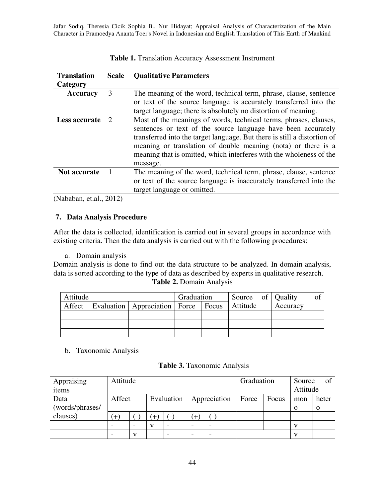| <b>Translation</b>                                                                                                                                                                                                                                                                                                                                | <b>Scale</b>                | <b>Qualitative Parameters</b>                                                                                                                                                                                                                                                                                                                                      |
|---------------------------------------------------------------------------------------------------------------------------------------------------------------------------------------------------------------------------------------------------------------------------------------------------------------------------------------------------|-----------------------------|--------------------------------------------------------------------------------------------------------------------------------------------------------------------------------------------------------------------------------------------------------------------------------------------------------------------------------------------------------------------|
| Category                                                                                                                                                                                                                                                                                                                                          |                             |                                                                                                                                                                                                                                                                                                                                                                    |
| <b>Accuracy</b>                                                                                                                                                                                                                                                                                                                                   | 3                           | The meaning of the word, technical term, phrase, clause, sentence                                                                                                                                                                                                                                                                                                  |
|                                                                                                                                                                                                                                                                                                                                                   |                             | or text of the source language is accurately transferred into the                                                                                                                                                                                                                                                                                                  |
|                                                                                                                                                                                                                                                                                                                                                   |                             | target language; there is absolutely no distortion of meaning.                                                                                                                                                                                                                                                                                                     |
| Less accurate                                                                                                                                                                                                                                                                                                                                     | $\mathcal{D}_{\mathcal{L}}$ | Most of the meanings of words, technical terms, phrases, clauses,<br>sentences or text of the source language have been accurately<br>transferred into the target language. But there is still a distortion of<br>meaning or translation of double meaning (nota) or there is a<br>meaning that is omitted, which interferes with the wholeness of the<br>message. |
| <b>Not accurate</b>                                                                                                                                                                                                                                                                                                                               |                             | The meaning of the word, technical term, phrase, clause, sentence<br>or text of the source language is inaccurately transferred into the<br>target language or omitted.                                                                                                                                                                                            |
| $\sim$ $\sim$ $\sim$ $\sim$<br>$\sqrt{2}$ $\sqrt{2}$ $\sqrt{2}$ $\sqrt{2}$ $\sqrt{2}$ $\sqrt{2}$ $\sqrt{2}$ $\sqrt{2}$ $\sqrt{2}$ $\sqrt{2}$ $\sqrt{2}$ $\sqrt{2}$ $\sqrt{2}$ $\sqrt{2}$ $\sqrt{2}$ $\sqrt{2}$ $\sqrt{2}$ $\sqrt{2}$ $\sqrt{2}$ $\sqrt{2}$ $\sqrt{2}$ $\sqrt{2}$ $\sqrt{2}$ $\sqrt{2}$ $\sqrt{2}$ $\sqrt{2}$ $\sqrt{2}$ $\sqrt{2$ |                             |                                                                                                                                                                                                                                                                                                                                                                    |

| Table 1. Translation Accuracy Assessment Instrument |  |
|-----------------------------------------------------|--|
|-----------------------------------------------------|--|

(Nababan, et.al., 2012)

### **7. Data Analysis Procedure**

After the data is collected, identification is carried out in several groups in accordance with existing criteria. Then the data analysis is carried out with the following procedures:

a. Domain analysis

Domain analysis is done to find out the data structure to be analyzed. In domain analysis, data is sorted according to the type of data as described by experts in qualitative research. **Table 2.** Domain Analysis

| Attitude |                                                    | Graduation | Source of Quality |          | ОŤ |
|----------|----------------------------------------------------|------------|-------------------|----------|----|
|          | Affect   Evaluation   Appreciation   Force   Focus |            | Attitude          | Accuracy |    |
|          |                                                    |            |                   |          |    |
|          |                                                    |            |                   |          |    |
|          |                                                    |            |                   |          |    |

b. Taxonomic Analysis

**Table 3.** Taxonomic Analysis

| Appraising      |        | Attitude                 |     |                          |                          |              | Graduation |       | Source   | of       |
|-----------------|--------|--------------------------|-----|--------------------------|--------------------------|--------------|------------|-------|----------|----------|
| items           |        |                          |     |                          |                          |              |            |       | Attitude |          |
| Data            | Affect |                          |     | Evaluation               |                          | Appreciation | Force      | Focus | mon      | heter    |
| (words/phrases/ |        |                          |     |                          |                          |              |            |       | $\Omega$ | $\Omega$ |
| clauses)        | $^{+}$ | $\overline{\phantom{a}}$ | $+$ |                          | $^{+}$                   | ( –          |            |       |          |          |
|                 |        |                          | v   | $\overline{\phantom{0}}$ | $\overline{\phantom{0}}$ |              |            |       |          |          |
|                 |        | v                        |     |                          |                          |              |            |       |          |          |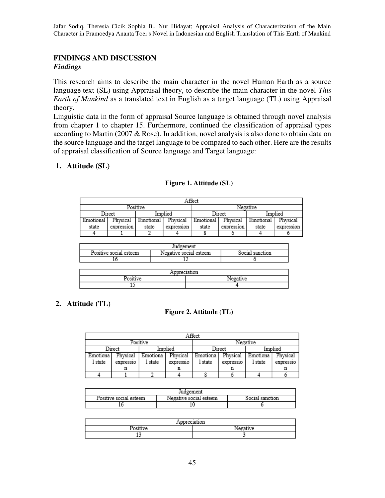# **FINDINGS AND DISCUSSION**  *Findings*

This research aims to describe the main character in the novel Human Earth as a source language text (SL) using Appraisal theory, to describe the main character in the novel *This Earth of Mankind* as a translated text in English as a target language (TL) using Appraisal theory.

Linguistic data in the form of appraisal Source language is obtained through novel analysis from chapter 1 to chapter 15. Furthermore, continued the classification of appraisal types according to Martin (2007 & Rose). In addition, novel analysis is also done to obtain data on the source language and the target language to be compared to each other. Here are the results of appraisal classification of Source language and Target language:

## **1. Attitude (SL)**

| Affect      |            |           |            |           |            |           |            |
|-------------|------------|-----------|------------|-----------|------------|-----------|------------|
| Positive    |            |           |            |           |            | Negative  |            |
|             | Direct     | Implied   |            | Direct    |            | Implied   |            |
| . Emotional | Physical   | Emotional | Physical   | Emotional | Physical   | Emotional | Physical   |
| state       | expression | state     | expression | state     | expression | state     | expression |
|             |            |           |            |           |            |           |            |

### **Figure 1. Attitude (SL)**

| Judgement              |                              |              |  |  |
|------------------------|------------------------------|--------------|--|--|
| Positive social esteem | ve social esteem<br>vegativ. | 50018<br>10n |  |  |
|                        |                              |              |  |  |

| ۰         |  |  |  |
|-----------|--|--|--|
| -us.<br>÷ |  |  |  |
| --        |  |  |  |

# **2. Attitude (TL)**

### **Figure 2. Attitude (TL)**

| Affect   |           |          |           |          |           |          |           |
|----------|-----------|----------|-----------|----------|-----------|----------|-----------|
|          |           | Positive |           |          |           | Negative |           |
|          | Direct    | Implied  |           | Direct   |           | Implied  |           |
| Emotiona | Physical  | Emotiona | Physical  | Emotiona | Physical  | Emotiona | Physical  |
| l state  | expressio | 1 state  | expressio | 1 state  | expressio | 1 state  | expressio |
|          | n         |          | n         |          |           |          | n         |
|          |           |          |           |          |           |          |           |

| Judgement              |                        |                 |  |  |
|------------------------|------------------------|-----------------|--|--|
| Positive social esteem | Negative social esteem | Social<br>'tıon |  |  |
|                        |                        |                 |  |  |

| <b>COMPOS</b> |  |  |  |
|---------------|--|--|--|
|               |  |  |  |
|               |  |  |  |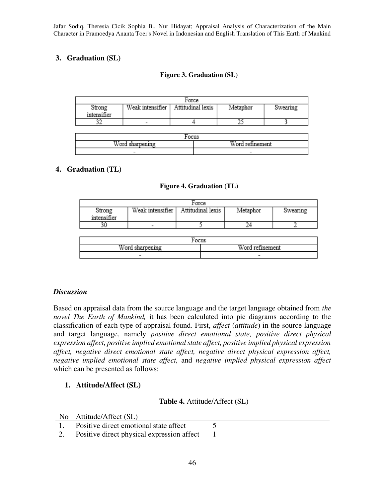# **3. Graduation (SL)**

## **Figure 3. Graduation (SL)**

| Force       |  |                                      |          |          |  |
|-------------|--|--------------------------------------|----------|----------|--|
| Strong      |  | Weak intensifier   Attitudinal lexis | Metaphor | Swearing |  |
| intensifier |  |                                      |          |          |  |
|             |  |                                      |          |          |  |

| <b>TTP</b><br>'or<br>w   | <b>TTP</b><br>$-$        |  |  |  |
|--------------------------|--------------------------|--|--|--|
| $\overline{\phantom{a}}$ | $\overline{\phantom{a}}$ |  |  |  |

# **4. Graduation (TL)**

### **Figure 4. Graduation (TL)**

| Force       |                          |                                      |          |          |
|-------------|--------------------------|--------------------------------------|----------|----------|
| Strong      |                          | Weak intensifier   Attitudinal lexis | Metaphor | Swearing |
| intensifier |                          |                                      |          |          |
|             | $\overline{\phantom{a}}$ |                                      |          |          |

| <b>TTP</b><br>$-$<br>231 | TT<br>sм                 |  |
|--------------------------|--------------------------|--|
| $\overline{\phantom{a}}$ | $\overline{\phantom{0}}$ |  |

### *Discussion*

Based on appraisal data from the source language and the target language obtained from *the novel The Earth of Mankind,* it has been calculated into pie diagrams according to the classification of each type of appraisal found. First, *affect* (*attitude*) in the source language and target language, namely *positive direct emotional state, positive direct physical expression affect, positive implied emotional state affect, positive implied physical expression affect, negative direct emotional state affect, negative direct physical expression affect, negative implied emotional state affect,* and *negative implied physical expression affect*  which can be presented as follows:

# **1. Attitude/Affect (SL)**

### **Table 4.** Attitude/Affect (SL)

|              | No Attitude/Affect (SL)                    |  |
|--------------|--------------------------------------------|--|
| $\mathbf{1}$ | Positive direct emotional state affect     |  |
|              | Positive direct physical expression affect |  |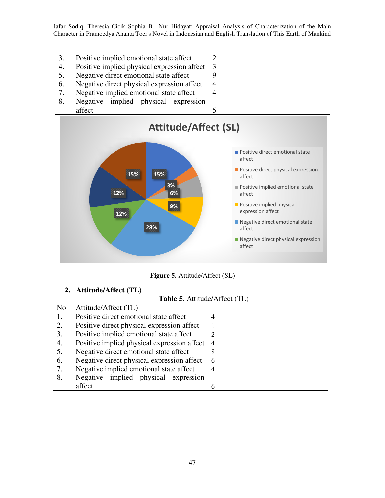- 3. Positive implied emotional state affect 2
- 4. Positive implied physical expression affect 3
- 5. Negative direct emotional state affect 9
- 6. Negative direct physical expression affect 4
- 7. Negative implied emotional state affect 4
- 8. Negative implied physical expression affect 5



**Figure 5.** Attitude/Affect (SL)

### **2. Attitude/Affect (TL)**

#### **Table 5.** Attitude/Affect (TL)

| N <sub>0</sub> | Attitude/Affect (TL)                        |                |
|----------------|---------------------------------------------|----------------|
|                | Positive direct emotional state affect      |                |
| 2.             | Positive direct physical expression affect  |                |
| 3.             | Positive implied emotional state affect     |                |
| 4.             | Positive implied physical expression affect | $\overline{4}$ |
| 5.             | Negative direct emotional state affect      | 8              |
| 6.             | Negative direct physical expression affect  | 6              |
| 7.             | Negative implied emotional state affect     | 4              |
| 8.             | Negative implied physical expression        |                |
|                | affect                                      |                |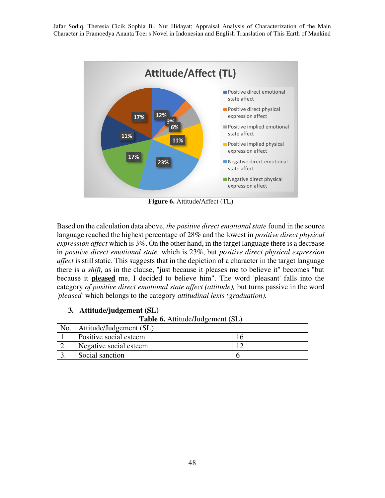

**Figure 6.** Attitude/Affect (TL)

Based on the calculation data above, *the positive direct emotional state* found in the source language reached the highest percentage of 28% and the lowest in *positive direct physical expression affect* which is 3%. On the other hand, in the target language there is a decrease in *positive direct emotional state,* which is 23%, but *positive direct physical expression affect* is still static. This suggests that in the depiction of a character in the target language there is *a shift,* as in the clause, "just because it pleases me to believe it" becomes "but because it **pleased** me, I decided to believe him". The word 'pleasant' falls into the category *of positive direct emotional state affect (attitude),* but turns passive in the word *'pleased'* which belongs to the category *attitudinal lexis (graduation).* 

# **3. Attitude/judgement (SL)**

**Table 6.** Attitude/Judgement (SL)

| No. | Attitude/Judgement (SL) |  |
|-----|-------------------------|--|
|     | Positive social esteem  |  |
|     | Negative social esteem  |  |
|     | Social sanction         |  |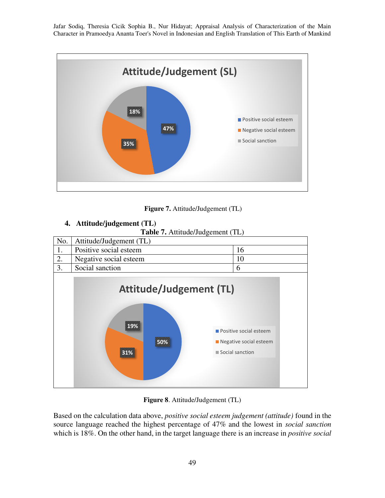

 **Figure 7.** Attitude/Judgement (TL)

# **4. Attitude/judgement (TL)**

**Table 7.** Attitude/Judgement (TL)



**Figure 8**. Attitude/Judgement (TL)

Based on the calculation data above, *positive social esteem judgement (attitude)* found in the source language reached the highest percentage of 47% and the lowest in *social sanction*  which is 18%. On the other hand, in the target language there is an increase in *positive social*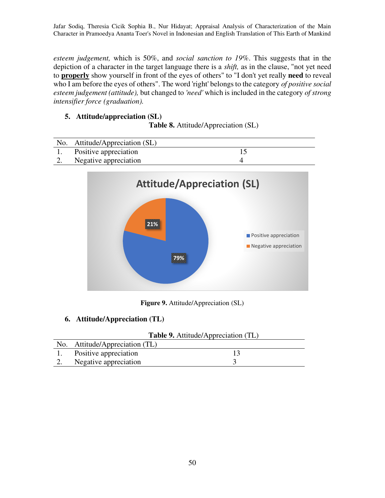*esteem judgement,* which is 50%, and *social sanction to 19%*. This suggests that in the depiction of a character in the target language there is a *shift,* as in the clause, "not yet need to **properly** show yourself in front of the eyes of others" to "I don't yet really **need** to reveal who I am before the eyes of others". The word 'right' belongs to the category *of positive social esteem judgement (attitude),* but changed to *'need'* which is included in the category *of strong intensifier force (graduation).* 

# **5. Attitude/appreciation (SL)**

**Table 8.** Attitude/Appreciation (SL)

|    | No. Attitude/Appreciation (SL) |  |
|----|--------------------------------|--|
|    | Positive appreciation          |  |
| 2. | Negative appreciation          |  |



**Figure 9.** Attitude/Appreciation (SL)

### **6. Attitude/Appreciation (TL)**

|     | <b>Table 9.</b> Attitude/Appreciation (TL) |  |  |
|-----|--------------------------------------------|--|--|
| No. | Attitude/Appreciation (TL)                 |  |  |
|     | Positive appreciation                      |  |  |
| 2.  | Negative appreciation                      |  |  |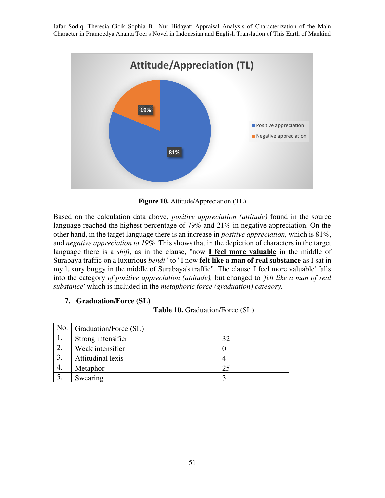

**Figure 10.** Attitude/Appreciation (TL)

Based on the calculation data above, *positive appreciation (attitude)* found in the source language reached the highest percentage of 79% and 21% in negative appreciation. On the other hand, in the target language there is an increase in *positive appreciation,* which is 81%, and *negative appreciation to 19%*. This shows that in the depiction of characters in the target language there is a *shift,* as in the clause, "now **I feel more valuable** in the middle of Surabaya traffic on a luxurious *bendi*" to "I now **felt like a man of real substance** as I sat in my luxury buggy in the middle of Surabaya's traffic". The clause 'I feel more valuable' falls into the category *of positive appreciation (attitude),* but changed to *'felt like a man of real substance'* which is included in the *metaphoric force (graduation) category.*

### **7. Graduation/Force (SL)**

|  | <b>Table 10.</b> Graduation/Force (SL) |  |
|--|----------------------------------------|--|
|--|----------------------------------------|--|

| No. | Graduation/Force (SL) |    |
|-----|-----------------------|----|
|     | Strong intensifier    | 32 |
|     | Weak intensifier      |    |
|     | Attitudinal lexis     |    |
|     | Metaphor              | 25 |
|     | Swearing              |    |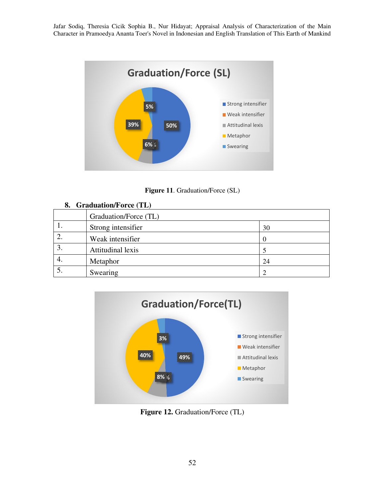

**Figure 11**. Graduation/Force (SL)

|    | Graduation/Force (TL) |    |
|----|-----------------------|----|
| ., | Strong intensifier    | 30 |
|    | Weak intensifier      |    |
| c. | Attitudinal lexis     |    |
| 4. | Metaphor              | 24 |
|    | Swearing              |    |



Figure 12. Graduation/Force (TL)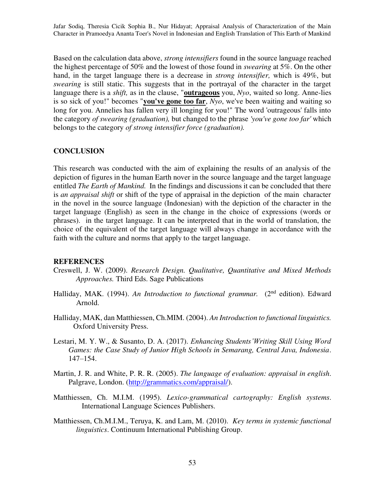Based on the calculation data above, *strong intensifiers* found in the source language reached the highest percentage of 50% and the lowest of those found in *swearing* at 5%. On the other hand, in the target language there is a decrease in *strong intensifier,* which is 49%, but *swearing* is still static. This suggests that in the portrayal of the character in the target language there is a *shift,* as in the clause, "**outrageous** you, *Nyo*, waited so long. Anne-lies is so sick of you!" becomes "**you've gone too far**, *Nyo*, we've been waiting and waiting so long for you. Annelies has fallen very ill longing for you!" The word 'outrageous' falls into the category *of swearing (graduation),* but changed to the phrase *'you've gone too far'* which belongs to the category *of strong intensifier force (graduation).* 

#### **CONCLUSION**

This research was conducted with the aim of explaining the results of an analysis of the depiction of figures in the human Earth nover in the source language and the target language entitled *The Earth of Mankind.* In the findings and discussions it can be concluded that there is *an appraisal shift* or shift of the type of appraisal in the depiction of the main character in the novel in the source language (Indonesian) with the depiction of the character in the target language (English) as seen in the change in the choice of expressions (words or phrases). in the target language. It can be interpreted that in the world of translation, the choice of the equivalent of the target language will always change in accordance with the faith with the culture and norms that apply to the target language.

#### **REFERENCES**

- Creswell, J. W. (2009). *Research Design. Qualitative, Quantitative and Mixed Methods Approaches.* Third Eds. Sage Publications
- Halliday, MAK. (1994). An Introduction to functional grammar. (2<sup>nd</sup> edition). Edward Arnold.
- Halliday, MAK, dan Matthiessen, Ch.MIM. (2004). *An Introduction to functional linguistics.* Oxford University Press.
- Lestari, M. Y. W., & Susanto, D. A. (2017). *Enhancing Students'Writing Skill Using Word Games: the Case Study of Junior High Schools in Semarang, Central Java, Indonesia*. 147–154.
- Martin, J. R. and White, P. R. R. (2005). *The language of evaluation: appraisal in english*. Palgrave, London. [\(http://grammatics.com/appraisal/\)](http://grammatics.com/appraisal/).
- Matthiessen, Ch. M.I.M. (1995). *Lexico-grammatical cartography: English systems*. International Language Sciences Publishers.
- Matthiessen, Ch.M.I.M., Teruya, K. and Lam, M. (2010). *Key terms in systemic functional linguistics*. Continuum International Publishing Group.